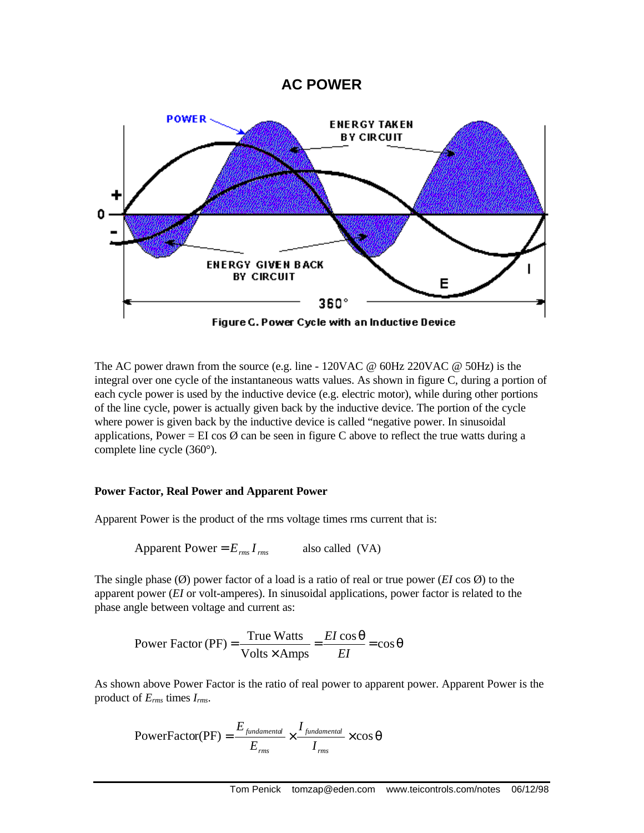## **AC POWER**



The AC power drawn from the source (e.g. line - 120VAC  $\omega$  60Hz 220VAC  $\omega$  50Hz) is the integral over one cycle of the instantaneous watts values. As shown in figure C, during a portion of each cycle power is used by the inductive device (e.g. electric motor), while during other portions of the line cycle, power is actually given back by the inductive device. The portion of the cycle where power is given back by the inductive device is called "negative power. In sinusoidal applications, Power = EI cos  $\emptyset$  can be seen in figure C above to reflect the true watts during a complete line cycle (360°).

## **Power Factor, Real Power and Apparent Power**

Apparent Power is the product of the rms voltage times rms current that is:

Apparent Power =  $E_{\text{rms}} I_{\text{rms}}$  also called (VA)

The single phase (Ø) power factor of a load is a ratio of real or true power (*EI* cos Ø) to the apparent power (*EI* or volt-amperes). In sinusoidal applications, power factor is related to the phase angle between voltage and current as:

 $=\frac{EI\cos\theta}{\cos\theta}=\cos\theta$ ×  $=\frac{\text{True Watts}}{\text{True}} = \frac{EI \cos \theta}{\text{True}} = \cos \theta$  $Volts \times Amps$ Power Factor (PF) =  $\frac{\text{True Watts}}{\text{True}}$ *EI EI*

As shown above Power Factor is the ratio of real power to apparent power. Apparent Power is the product of *Erms* times *Irms*.

$$
PowerFactor(PF) = \frac{E_{\text{fundamental}}}{E_{\text{rms}}} \times \frac{I_{\text{fundamental}}}{I_{\text{rms}}} \times \cos\theta
$$